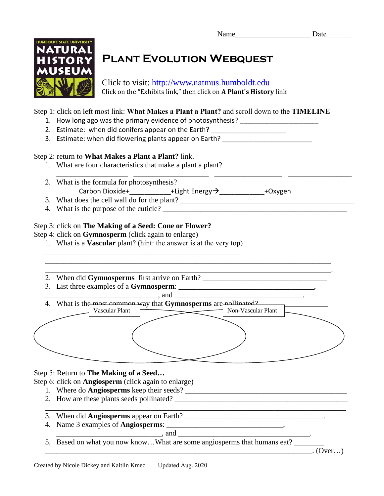

# **Plant Evolution Webquest**

Click to visit: http://www.natmus.humboldt.edu Click on the "Exhibits link," then click on **A Plant's History** link

\_\_\_\_\_\_\_\_\_\_\_\_\_\_\_\_\_\_\_ \_\_\_\_\_\_\_\_\_\_\_\_\_\_\_\_\_\_\_\_ \_\_\_\_\_\_\_\_\_\_\_\_\_\_\_\_\_\_ \_\_\_\_\_\_\_\_\_\_\_\_\_\_\_\_\_

#### Step 1: click on left most link: **What Makes a Plant a Plant?** and scroll down to the **TIMELINE**

- 1. How long ago was the primary evidence of photosynthesis? \_\_\_\_\_\_\_\_\_\_\_\_\_\_\_\_\_\_\_\_
- 2. Estimate: when did conifers appear on the Earth?
- 3. Estimate: when did flowering plants appear on Earth?

#### Step 2: return to **What Makes a Plant a Plant?** link.

- 1. What are four characteristics that make a plant a plant?
- 2. What is the formula for photosynthesis? Carbon Dioxide+\_\_\_\_\_\_\_\_\_\_\_\_\_+Light Energy >\_\_\_\_\_\_\_\_\_\_\_\_\_+Oxygen
- 3. What does the cell wall do for the plant? \_\_\_\_\_\_\_\_\_\_\_\_\_\_\_\_\_\_\_\_\_\_\_\_\_\_\_\_\_\_\_\_\_\_\_\_\_\_\_\_\_\_\_\_\_\_
- 4. What is the purpose of the cuticle?

### Step 3: click on **The Making of a Seed: Cone or Flower?**

Step 4: click on **Gymnosperm** (click again to enlarge)

- 1. What is a **Vascular** plant? (hint: the answer is at the very top) \_\_\_\_\_\_\_\_\_\_\_\_\_\_\_\_\_\_\_\_\_\_\_\_\_\_\_\_\_\_\_\_\_\_\_\_\_\_\_\_\_\_\_\_\_\_\_\_\_\_\_\_
- 2. When did Gymnosperms first arrive on Earth? \_\_\_\_\_\_\_\_\_\_\_\_\_\_\_\_\_\_\_\_\_\_\_\_\_\_\_\_\_\_\_\_\_\_
- 3. List three examples of a **Gymnosperm**:

| and                                                             |                    |  |
|-----------------------------------------------------------------|--------------------|--|
| 4. What is the most common way that Gymnosperms are nollinated? |                    |  |
| Vascular Plant                                                  | Non-Vascular Plant |  |
|                                                                 |                    |  |
|                                                                 |                    |  |
|                                                                 |                    |  |
|                                                                 |                    |  |
|                                                                 |                    |  |
|                                                                 |                    |  |

\_\_\_\_\_\_\_\_\_\_\_\_\_\_\_\_\_\_\_\_\_\_\_\_\_\_\_\_\_\_\_\_\_\_\_\_\_\_\_\_\_\_\_\_\_\_\_\_\_\_\_\_\_\_\_\_\_\_\_\_\_\_\_\_\_\_\_\_\_\_\_\_\_\_\_\_\_\_\_\_

\_\_\_\_\_\_\_\_\_\_\_\_\_\_\_\_\_\_\_\_\_\_\_\_\_\_\_\_\_\_\_\_\_\_\_\_\_\_\_\_\_\_\_\_\_\_\_\_\_\_\_\_\_\_\_\_\_\_\_\_\_\_\_\_\_\_\_\_\_\_\_\_\_\_\_\_.

## Step 5: Return to **The Making of a Seed…**

Step 6: click on **Angiosperm** (click again to enlarge)

- 1. Where do **Angiosperms** keep their seeds? \_\_\_\_\_\_\_\_\_\_\_\_\_\_\_\_\_\_\_\_\_\_\_\_\_\_\_\_\_\_\_\_\_\_\_\_\_\_\_\_\_\_\_
- 2. How are these plants seeds pollinated? \_\_\_\_\_\_\_\_\_\_\_\_\_\_\_\_\_\_\_\_\_\_\_\_\_\_\_\_\_\_\_\_\_\_\_\_\_\_\_\_\_\_\_\_\_\_
- 3. When did **Angiosperms** appear on Earth? \_\_\_\_\_\_\_\_\_\_\_\_\_\_\_\_\_\_\_\_\_\_\_\_\_\_\_\_\_\_\_\_\_\_\_\_\_.
- 4. Name 3 examples of **Angiosperms**: \_\_\_\_\_\_\_\_\_\_\_\_\_\_\_\_\_\_\_\_\_\_\_\_\_\_\_\_\_\_\_,
- $\Box$  and  $\Box$ 5. Based on what you now know...What are some angiosperms that humans eat?